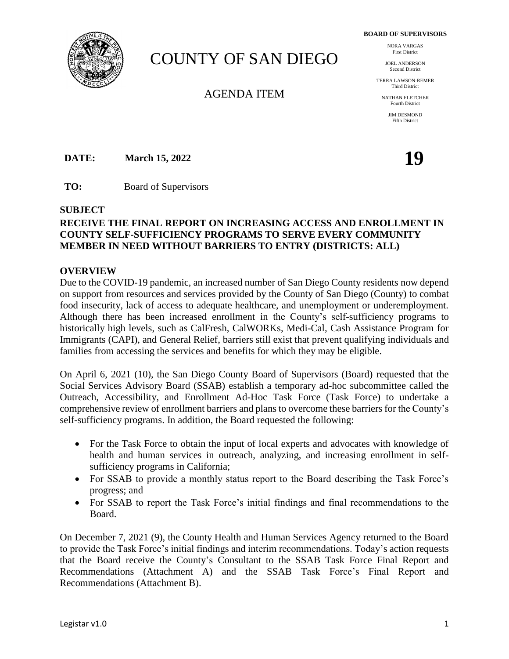**BOARD OF SUPERVISORS**



# COUNTY OF SAN DIEGO

AGENDA ITEM

NORA VARGAS First District

JOEL ANDERSON Second District

TERRA LAWSON-REMER Third District

NATHAN FLETCHER Fourth District

> *IIM DESMOND* Fifth District

**DATE: March 15, 2022 19** 

**TO:** Board of Supervisors

### **SUBJECT**

# **RECEIVE THE FINAL REPORT ON INCREASING ACCESS AND ENROLLMENT IN COUNTY SELF-SUFFICIENCY PROGRAMS TO SERVE EVERY COMMUNITY MEMBER IN NEED WITHOUT BARRIERS TO ENTRY (DISTRICTS: ALL)**

#### **OVERVIEW**

Due to the COVID-19 pandemic, an increased number of San Diego County residents now depend on support from resources and services provided by the County of San Diego (County) to combat food insecurity, lack of access to adequate healthcare, and unemployment or underemployment. Although there has been increased enrollment in the County's self-sufficiency programs to historically high levels, such as CalFresh, CalWORKs, Medi-Cal, Cash Assistance Program for Immigrants (CAPI), and General Relief, barriers still exist that prevent qualifying individuals and families from accessing the services and benefits for which they may be eligible.

On April 6, 2021 (10), the San Diego County Board of Supervisors (Board) requested that the Social Services Advisory Board (SSAB) establish a temporary ad-hoc subcommittee called the Outreach, Accessibility, and Enrollment Ad-Hoc Task Force (Task Force) to undertake a comprehensive review of enrollment barriers and plans to overcome these barriers for the County's self-sufficiency programs. In addition, the Board requested the following:

- For the Task Force to obtain the input of local experts and advocates with knowledge of health and human services in outreach, analyzing, and increasing enrollment in selfsufficiency programs in California;
- For SSAB to provide a monthly status report to the Board describing the Task Force's progress; and
- For SSAB to report the Task Force's initial findings and final recommendations to the Board.

On December 7, 2021 (9), the County Health and Human Services Agency returned to the Board to provide the Task Force's initial findings and interim recommendations. Today's action requests that the Board receive the County's Consultant to the SSAB Task Force Final Report and Recommendations (Attachment A) and the SSAB Task Force's Final Report and Recommendations (Attachment B).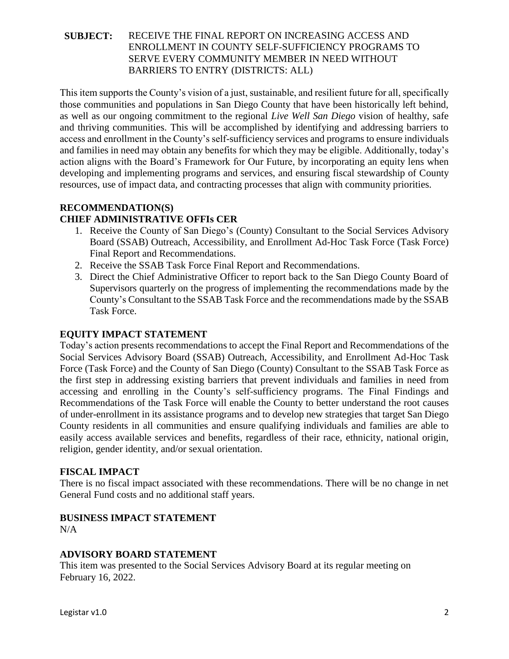This item supports the County's vision of a just, sustainable, and resilient future for all, specifically those communities and populations in San Diego County that have been historically left behind, as well as our ongoing commitment to the regional *Live Well San Diego* vision of healthy, safe and thriving communities. This will be accomplished by identifying and addressing barriers to access and enrollment in the County's self-sufficiency services and programs to ensure individuals and families in need may obtain any benefits for which they may be eligible. Additionally, today's action aligns with the Board's Framework for Our Future, by incorporating an equity lens when developing and implementing programs and services, and ensuring fiscal stewardship of County resources, use of impact data, and contracting processes that align with community priorities.

# **RECOMMENDATION(S)**

# **CHIEF ADMINISTRATIVE OFFIs CER**

- 1. Receive the County of San Diego's (County) Consultant to the Social Services Advisory Board (SSAB) Outreach, Accessibility, and Enrollment Ad-Hoc Task Force (Task Force) Final Report and Recommendations.
- 2. Receive the SSAB Task Force Final Report and Recommendations.
- 3. Direct the Chief Administrative Officer to report back to the San Diego County Board of Supervisors quarterly on the progress of implementing the recommendations made by the County's Consultant to the SSAB Task Force and the recommendations made by the SSAB Task Force.

## **EQUITY IMPACT STATEMENT**

Today's action presents recommendations to accept the Final Report and Recommendations of the Social Services Advisory Board (SSAB) Outreach, Accessibility, and Enrollment Ad-Hoc Task Force (Task Force) and the County of San Diego (County) Consultant to the SSAB Task Force as the first step in addressing existing barriers that prevent individuals and families in need from accessing and enrolling in the County's self-sufficiency programs. The Final Findings and Recommendations of the Task Force will enable the County to better understand the root causes of under-enrollment in its assistance programs and to develop new strategies that target San Diego County residents in all communities and ensure qualifying individuals and families are able to easily access available services and benefits, regardless of their race, ethnicity, national origin, religion, gender identity, and/or sexual orientation.

### **FISCAL IMPACT**

There is no fiscal impact associated with these recommendations. There will be no change in net General Fund costs and no additional staff years.

### **BUSINESS IMPACT STATEMENT**

 $N/A$ 

### **ADVISORY BOARD STATEMENT**

This item was presented to the Social Services Advisory Board at its regular meeting on February 16, 2022.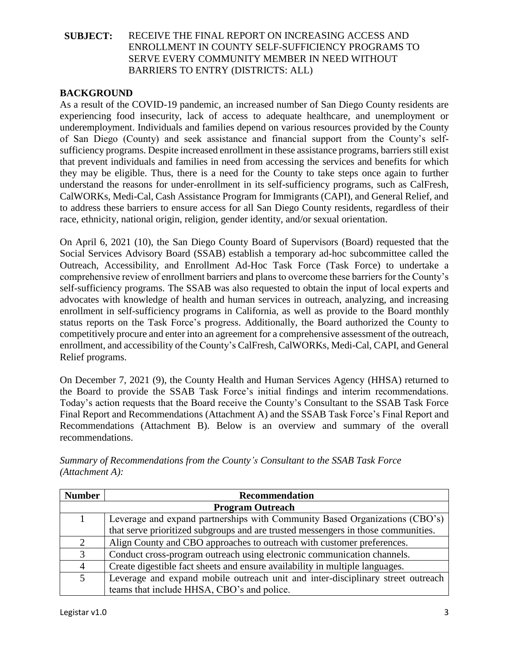#### **BACKGROUND**

As a result of the COVID-19 pandemic, an increased number of San Diego County residents are experiencing food insecurity, lack of access to adequate healthcare, and unemployment or underemployment. Individuals and families depend on various resources provided by the County of San Diego (County) and seek assistance and financial support from the County's selfsufficiency programs. Despite increased enrollment in these assistance programs, barriers still exist that prevent individuals and families in need from accessing the services and benefits for which they may be eligible. Thus, there is a need for the County to take steps once again to further understand the reasons for under-enrollment in its self-sufficiency programs, such as CalFresh, CalWORKs, Medi-Cal, Cash Assistance Program for Immigrants (CAPI), and General Relief, and to address these barriers to ensure access for all San Diego County residents, regardless of their race, ethnicity, national origin, religion, gender identity, and/or sexual orientation.

On April 6, 2021 (10), the San Diego County Board of Supervisors (Board) requested that the Social Services Advisory Board (SSAB) establish a temporary ad-hoc subcommittee called the Outreach, Accessibility, and Enrollment Ad-Hoc Task Force (Task Force) to undertake a comprehensive review of enrollment barriers and plans to overcome these barriers for the County's self-sufficiency programs. The SSAB was also requested to obtain the input of local experts and advocates with knowledge of health and human services in outreach, analyzing, and increasing enrollment in self-sufficiency programs in California, as well as provide to the Board monthly status reports on the Task Force's progress. Additionally, the Board authorized the County to competitively procure and enter into an agreement for a comprehensive assessment of the outreach, enrollment, and accessibility of the County's CalFresh, CalWORKs, Medi-Cal, CAPI, and General Relief programs.

On December 7, 2021 (9), the County Health and Human Services Agency (HHSA) returned to the Board to provide the SSAB Task Force's initial findings and interim recommendations. Today's action requests that the Board receive the County's Consultant to the SSAB Task Force Final Report and Recommendations (Attachment A) and the SSAB Task Force's Final Report and Recommendations (Attachment B). Below is an overview and summary of the overall recommendations.

| <b>Number</b>           | <b>Recommendation</b>                                                             |  |
|-------------------------|-----------------------------------------------------------------------------------|--|
| <b>Program Outreach</b> |                                                                                   |  |
|                         | Leverage and expand partnerships with Community Based Organizations (CBO's)       |  |
|                         | that serve prioritized subgroups and are trusted messengers in those communities. |  |
| 2                       | Align County and CBO approaches to outreach with customer preferences.            |  |
| 3                       | Conduct cross-program outreach using electronic communication channels.           |  |
| $\overline{4}$          | Create digestible fact sheets and ensure availability in multiple languages.      |  |
| 5                       | Leverage and expand mobile outreach unit and inter-disciplinary street outreach   |  |
|                         | teams that include HHSA, CBO's and police.                                        |  |

*Summary of Recommendations from the County's Consultant to the SSAB Task Force (Attachment A):*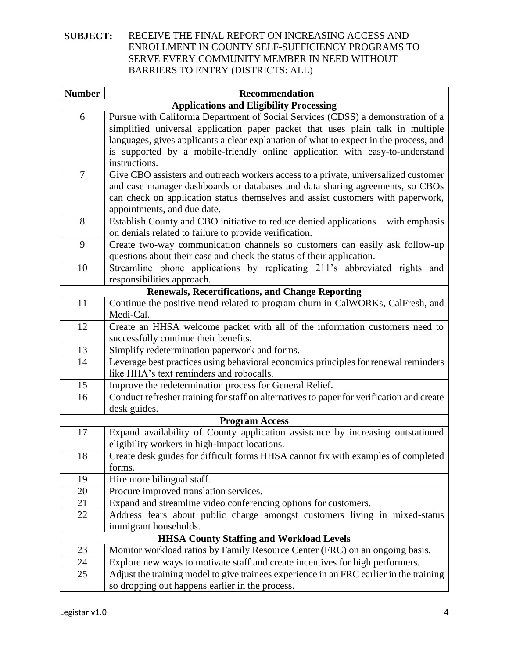| <b>Number</b>  | <b>Recommendation</b>                                                                     |
|----------------|-------------------------------------------------------------------------------------------|
|                | <b>Applications and Eligibility Processing</b>                                            |
| 6              | Pursue with California Department of Social Services (CDSS) a demonstration of a          |
|                | simplified universal application paper packet that uses plain talk in multiple            |
|                | languages, gives applicants a clear explanation of what to expect in the process, and     |
|                | is supported by a mobile-friendly online application with easy-to-understand              |
|                | instructions.                                                                             |
| $\overline{7}$ | Give CBO assisters and outreach workers access to a private, universalized customer       |
|                | and case manager dashboards or databases and data sharing agreements, so CBOs             |
|                | can check on application status themselves and assist customers with paperwork,           |
|                | appointments, and due date.                                                               |
| 8              | Establish County and CBO initiative to reduce denied applications - with emphasis         |
|                | on denials related to failure to provide verification.                                    |
| 9              | Create two-way communication channels so customers can easily ask follow-up               |
|                | questions about their case and check the status of their application.                     |
| 10             | Streamline phone applications by replicating 211's abbreviated rights and                 |
|                | responsibilities approach.                                                                |
|                | <b>Renewals, Recertifications, and Change Reporting</b>                                   |
| 11             | Continue the positive trend related to program churn in CalWORKs, CalFresh, and           |
|                | Medi-Cal.                                                                                 |
| 12             | Create an HHSA welcome packet with all of the information customers need to               |
|                | successfully continue their benefits.                                                     |
| 13             | Simplify redetermination paperwork and forms.                                             |
| 14             | Leverage best practices using behavioral economics principles for renewal reminders       |
|                | like HHA's text reminders and robocalls.                                                  |
| 15             | Improve the redetermination process for General Relief.                                   |
| 16             | Conduct refresher training for staff on alternatives to paper for verification and create |
|                | desk guides.                                                                              |
|                | <b>Program Access</b>                                                                     |
| 17             | Expand availability of County application assistance by increasing outstationed           |
|                | eligibility workers in high-impact locations.                                             |
| 18             | Create desk guides for difficult forms HHSA cannot fix with examples of completed         |
|                | forms.                                                                                    |
| 19             | Hire more bilingual staff.                                                                |
| 20             | Procure improved translation services.                                                    |
| 21             | Expand and streamline video conferencing options for customers.                           |
| 22             | Address fears about public charge amongst customers living in mixed-status                |
|                | immigrant households.                                                                     |
|                | <b>HHSA County Staffing and Workload Levels</b>                                           |
| 23             | Monitor workload ratios by Family Resource Center (FRC) on an ongoing basis.              |
| 24             | Explore new ways to motivate staff and create incentives for high performers.             |
| 25             | Adjust the training model to give trainees experience in an FRC earlier in the training   |
|                | so dropping out happens earlier in the process.                                           |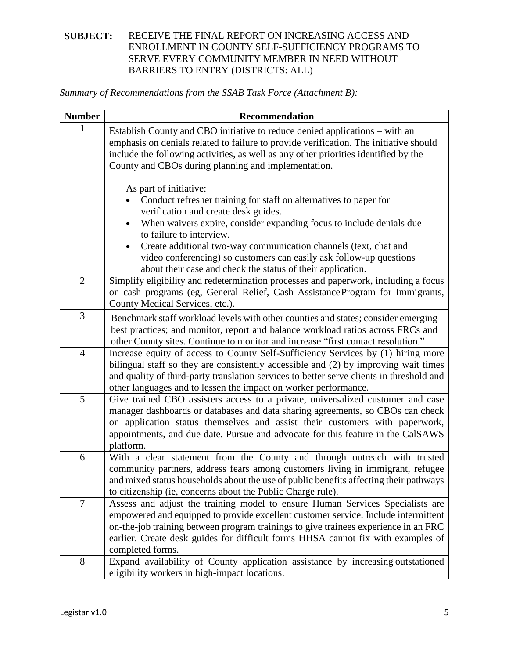*Summary of Recommendations from the SSAB Task Force (Attachment B):*

| <b>Number</b>  | <b>Recommendation</b>                                                                                                                                                                                                                                                                                                                                                                                                                             |
|----------------|---------------------------------------------------------------------------------------------------------------------------------------------------------------------------------------------------------------------------------------------------------------------------------------------------------------------------------------------------------------------------------------------------------------------------------------------------|
|                | Establish County and CBO initiative to reduce denied applications – with an<br>emphasis on denials related to failure to provide verification. The initiative should<br>include the following activities, as well as any other priorities identified by the<br>County and CBOs during planning and implementation.                                                                                                                                |
|                | As part of initiative:<br>Conduct refresher training for staff on alternatives to paper for<br>verification and create desk guides.<br>When waivers expire, consider expanding focus to include denials due<br>to failure to interview.<br>Create additional two-way communication channels (text, chat and<br>video conferencing) so customers can easily ask follow-up questions<br>about their case and check the status of their application. |
| $\overline{2}$ | Simplify eligibility and redetermination processes and paperwork, including a focus<br>on cash programs (eg, General Relief, Cash Assistance Program for Immigrants,<br>County Medical Services, etc.).                                                                                                                                                                                                                                           |
| 3              | Benchmark staff workload levels with other counties and states; consider emerging<br>best practices; and monitor, report and balance workload ratios across FRCs and<br>other County sites. Continue to monitor and increase "first contact resolution."                                                                                                                                                                                          |
| $\overline{4}$ | Increase equity of access to County Self-Sufficiency Services by (1) hiring more<br>bilingual staff so they are consistently accessible and (2) by improving wait times<br>and quality of third-party translation services to better serve clients in threshold and<br>other languages and to lessen the impact on worker performance.                                                                                                            |
| 5              | Give trained CBO assisters access to a private, universalized customer and case<br>manager dashboards or databases and data sharing agreements, so CBOs can check<br>on application status themselves and assist their customers with paperwork,<br>appointments, and due date. Pursue and advocate for this feature in the CalSAWS<br>platform.                                                                                                  |
| 6              | With a clear statement from the County and through outreach with trusted<br>community partners, address fears among customers living in immigrant, refugee<br>and mixed status households about the use of public benefits affecting their pathways<br>to citizenship (ie, concerns about the Public Charge rule).                                                                                                                                |
| $\overline{7}$ | Assess and adjust the training model to ensure Human Services Specialists are<br>empowered and equipped to provide excellent customer service. Include intermittent<br>on-the-job training between program trainings to give trainees experience in an FRC<br>earlier. Create desk guides for difficult forms HHSA cannot fix with examples of<br>completed forms.                                                                                |
| 8              | Expand availability of County application assistance by increasing outstationed<br>eligibility workers in high-impact locations.                                                                                                                                                                                                                                                                                                                  |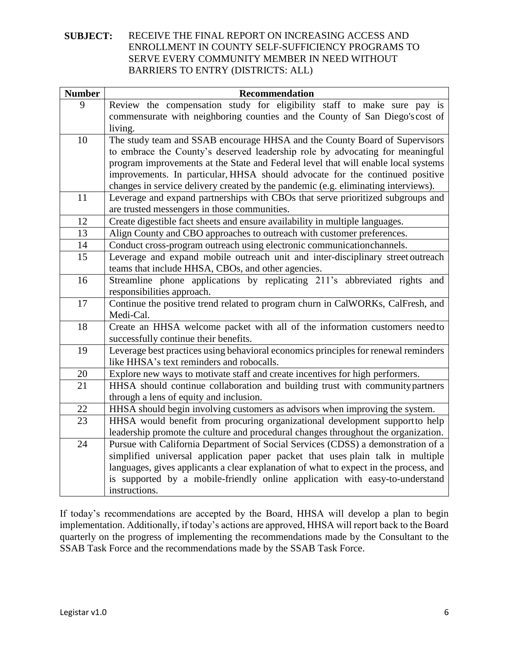| <b>Number</b> | <b>Recommendation</b>                                                                 |
|---------------|---------------------------------------------------------------------------------------|
| 9             | Review the compensation study for eligibility staff to make sure pay is               |
|               | commensurate with neighboring counties and the County of San Diego's cost of          |
|               | living.                                                                               |
| 10            | The study team and SSAB encourage HHSA and the County Board of Supervisors            |
|               | to embrace the County's deserved leadership role by advocating for meaningful         |
|               | program improvements at the State and Federal level that will enable local systems    |
|               | improvements. In particular, HHSA should advocate for the continued positive          |
|               | changes in service delivery created by the pandemic (e.g. eliminating interviews).    |
| 11            | Leverage and expand partnerships with CBOs that serve prioritized subgroups and       |
|               | are trusted messengers in those communities.                                          |
| 12            | Create digestible fact sheets and ensure availability in multiple languages.          |
| 13            | Align County and CBO approaches to outreach with customer preferences.                |
| 14            | Conduct cross-program outreach using electronic communicationchannels.                |
| 15            | Leverage and expand mobile outreach unit and inter-disciplinary street outreach       |
|               | teams that include HHSA, CBOs, and other agencies.                                    |
| 16            | Streamline phone applications by replicating 211's abbreviated rights and             |
|               | responsibilities approach.                                                            |
| 17            | Continue the positive trend related to program churn in CalWORKs, CalFresh, and       |
|               | Medi-Cal.                                                                             |
| 18            | Create an HHSA welcome packet with all of the information customers needto            |
|               | successfully continue their benefits.                                                 |
| 19            | Leverage best practices using behavioral economics principles for renewal reminders   |
|               | like HHSA's text reminders and robocalls.                                             |
| 20            | Explore new ways to motivate staff and create incentives for high performers.         |
| 21            | HHSA should continue collaboration and building trust with community partners         |
|               | through a lens of equity and inclusion.                                               |
| 22            | HHSA should begin involving customers as advisors when improving the system.          |
| 23            | HHSA would benefit from procuring organizational development support to help          |
|               | leadership promote the culture and procedural changes throughout the organization.    |
| 24            | Pursue with California Department of Social Services (CDSS) a demonstration of a      |
|               | simplified universal application paper packet that uses plain talk in multiple        |
|               | languages, gives applicants a clear explanation of what to expect in the process, and |
|               | is supported by a mobile-friendly online application with easy-to-understand          |
|               | instructions.                                                                         |

If today's recommendations are accepted by the Board, HHSA will develop a plan to begin implementation. Additionally, if today's actions are approved, HHSA will report back to the Board quarterly on the progress of implementing the recommendations made by the Consultant to the SSAB Task Force and the recommendations made by the SSAB Task Force.